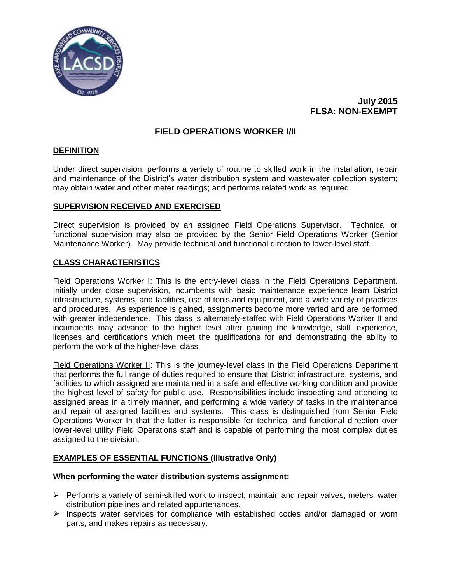

# **July 2015 FLSA: NON-EXEMPT**

# **FIELD OPERATIONS WORKER I/II**

## **DEFINITION**

Under direct supervision, performs a variety of routine to skilled work in the installation, repair and maintenance of the District's water distribution system and wastewater collection system; may obtain water and other meter readings; and performs related work as required.

### **SUPERVISION RECEIVED AND EXERCISED**

Direct supervision is provided by an assigned Field Operations Supervisor. Technical or functional supervision may also be provided by the Senior Field Operations Worker (Senior Maintenance Worker). May provide technical and functional direction to lower-level staff.

### **CLASS CHARACTERISTICS**

Field Operations Worker I: This is the entry-level class in the Field Operations Department. Initially under close supervision, incumbents with basic maintenance experience learn District infrastructure, systems, and facilities, use of tools and equipment, and a wide variety of practices and procedures. As experience is gained, assignments become more varied and are performed with greater independence. This class is alternately-staffed with Field Operations Worker II and incumbents may advance to the higher level after gaining the knowledge, skill, experience, licenses and certifications which meet the qualifications for and demonstrating the ability to perform the work of the higher-level class.

Field Operations Worker II: This is the journey-level class in the Field Operations Department that performs the full range of duties required to ensure that District infrastructure, systems, and facilities to which assigned are maintained in a safe and effective working condition and provide the highest level of safety for public use. Responsibilities include inspecting and attending to assigned areas in a timely manner, and performing a wide variety of tasks in the maintenance and repair of assigned facilities and systems. This class is distinguished from Senior Field Operations Worker In that the latter is responsible for technical and functional direction over lower-level utility Field Operations staff and is capable of performing the most complex duties assigned to the division.

## **EXAMPLES OF ESSENTIAL FUNCTIONS (Illustrative Only)**

#### **When performing the water distribution systems assignment:**

- $\triangleright$  Performs a variety of semi-skilled work to inspect, maintain and repair valves, meters, water distribution pipelines and related appurtenances.
- $\triangleright$  Inspects water services for compliance with established codes and/or damaged or worn parts, and makes repairs as necessary.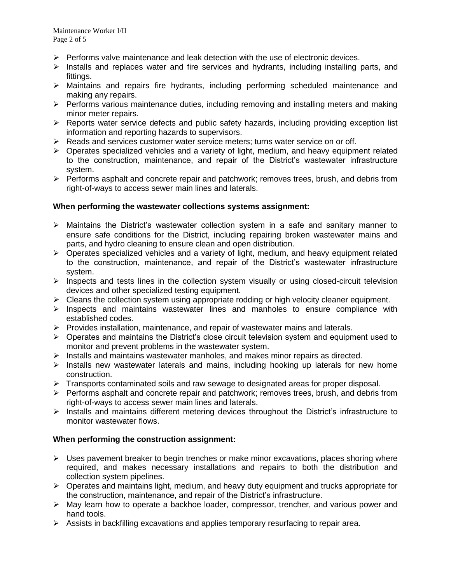- $\triangleright$  Performs valve maintenance and leak detection with the use of electronic devices.
- $\triangleright$  Installs and replaces water and fire services and hydrants, including installing parts, and fittings.
- Maintains and repairs fire hydrants, including performing scheduled maintenance and making any repairs.
- $\triangleright$  Performs various maintenance duties, including removing and installing meters and making minor meter repairs.
- $\triangleright$  Reports water service defects and public safety hazards, including providing exception list information and reporting hazards to supervisors.
- $\triangleright$  Reads and services customer water service meters; turns water service on or off.
- $\triangleright$  Operates specialized vehicles and a variety of light, medium, and heavy equipment related to the construction, maintenance, and repair of the District's wastewater infrastructure system.
- $\triangleright$  Performs asphalt and concrete repair and patchwork; removes trees, brush, and debris from right-of-ways to access sewer main lines and laterals.

### **When performing the wastewater collections systems assignment:**

- $\triangleright$  Maintains the District's wastewater collection system in a safe and sanitary manner to ensure safe conditions for the District, including repairing broken wastewater mains and parts, and hydro cleaning to ensure clean and open distribution.
- $\triangleright$  Operates specialized vehicles and a variety of light, medium, and heavy equipment related to the construction, maintenance, and repair of the District's wastewater infrastructure system.
- $\triangleright$  Inspects and tests lines in the collection system visually or using closed-circuit television devices and other specialized testing equipment.
- $\triangleright$  Cleans the collection system using appropriate rodding or high velocity cleaner equipment.
- $\triangleright$  Inspects and maintains wastewater lines and manholes to ensure compliance with established codes.
- $\triangleright$  Provides installation, maintenance, and repair of wastewater mains and laterals.
- $\triangleright$  Operates and maintains the District's close circuit television system and equipment used to monitor and prevent problems in the wastewater system.
- $\triangleright$  Installs and maintains wastewater manholes, and makes minor repairs as directed.
- $\triangleright$  Installs new wastewater laterals and mains, including hooking up laterals for new home construction.
- $\triangleright$  Transports contaminated soils and raw sewage to designated areas for proper disposal.
- $\triangleright$  Performs asphalt and concrete repair and patchwork; removes trees, brush, and debris from right-of-ways to access sewer main lines and laterals.
- $\triangleright$  Installs and maintains different metering devices throughout the District's infrastructure to monitor wastewater flows.

## **When performing the construction assignment:**

- $\triangleright$  Uses pavement breaker to begin trenches or make minor excavations, places shoring where required, and makes necessary installations and repairs to both the distribution and collection system pipelines.
- $\triangleright$  Operates and maintains light, medium, and heavy duty equipment and trucks appropriate for the construction, maintenance, and repair of the District's infrastructure.
- $\triangleright$  May learn how to operate a backhoe loader, compressor, trencher, and various power and hand tools.
- $\triangleright$  Assists in backfilling excavations and applies temporary resurfacing to repair area.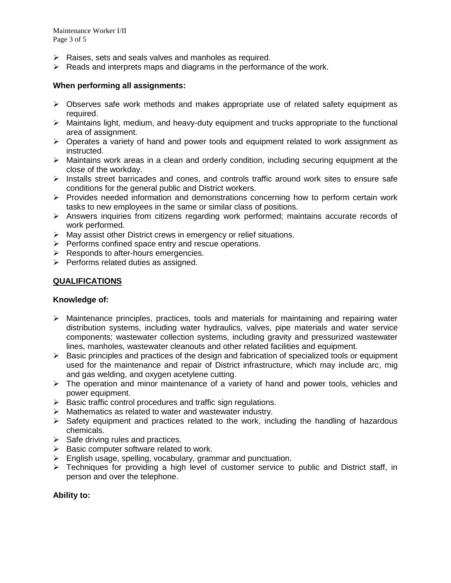- $\triangleright$  Raises, sets and seals valves and manholes as required.
- $\triangleright$  Reads and interprets maps and diagrams in the performance of the work.

## **When performing all assignments:**

- $\triangleright$  Observes safe work methods and makes appropriate use of related safety equipment as required.
- $\triangleright$  Maintains light, medium, and heavy-duty equipment and trucks appropriate to the functional area of assignment.
- $\triangleright$  Operates a variety of hand and power tools and equipment related to work assignment as instructed.
- $\triangleright$  Maintains work areas in a clean and orderly condition, including securing equipment at the close of the workday.
- $\triangleright$  Installs street barricades and cones, and controls traffic around work sites to ensure safe conditions for the general public and District workers.
- $\triangleright$  Provides needed information and demonstrations concerning how to perform certain work tasks to new employees in the same or similar class of positions.
- $\triangleright$  Answers inquiries from citizens regarding work performed; maintains accurate records of work performed.
- $\triangleright$  May assist other District crews in emergency or relief situations.
- $\triangleright$  Performs confined space entry and rescue operations.
- $\triangleright$  Responds to after-hours emergencies.
- $\triangleright$  Performs related duties as assigned.

### **QUALIFICATIONS**

#### **Knowledge of:**

- $\triangleright$  Maintenance principles, practices, tools and materials for maintaining and repairing water distribution systems, including water hydraulics, valves, pipe materials and water service components; wastewater collection systems, including gravity and pressurized wastewater lines, manholes, wastewater cleanouts and other related facilities and equipment.
- $\triangleright$  Basic principles and practices of the design and fabrication of specialized tools or equipment used for the maintenance and repair of District infrastructure, which may include arc, mig and gas welding, and oxygen acetylene cutting.
- $\triangleright$  The operation and minor maintenance of a variety of hand and power tools, vehicles and power equipment.
- $\triangleright$  Basic traffic control procedures and traffic sign regulations.
- Mathematics as related to water and wastewater industry.
- $\triangleright$  Safety equipment and practices related to the work, including the handling of hazardous chemicals.
- $\triangleright$  Safe driving rules and practices.
- $\triangleright$  Basic computer software related to work.
- $\triangleright$  English usage, spelling, vocabulary, grammar and punctuation.
- $\triangleright$  Techniques for providing a high level of customer service to public and District staff, in person and over the telephone.

## **Ability to:**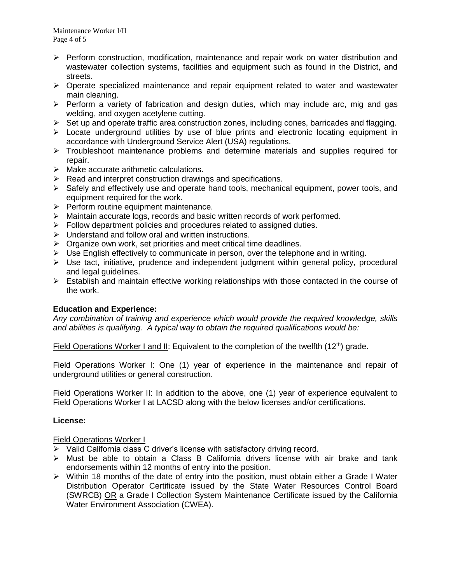- $\triangleright$  Perform construction, modification, maintenance and repair work on water distribution and wastewater collection systems, facilities and equipment such as found in the District, and streets.
- $\triangleright$  Operate specialized maintenance and repair equipment related to water and wastewater main cleaning.
- $\triangleright$  Perform a variety of fabrication and design duties, which may include arc, mig and gas welding, and oxygen acetylene cutting.
- $\triangleright$  Set up and operate traffic area construction zones, including cones, barricades and flagging.
- $\triangleright$  Locate underground utilities by use of blue prints and electronic locating equipment in accordance with Underground Service Alert (USA) regulations.
- $\triangleright$  Troubleshoot maintenance problems and determine materials and supplies required for repair.
- $\triangleright$  Make accurate arithmetic calculations.
- $\triangleright$  Read and interpret construction drawings and specifications.
- $\triangleright$  Safely and effectively use and operate hand tools, mechanical equipment, power tools, and equipment required for the work.
- $\triangleright$  Perform routine equipment maintenance.
- $\triangleright$  Maintain accurate logs, records and basic written records of work performed.
- $\triangleright$  Follow department policies and procedures related to assigned duties.
- $\triangleright$  Understand and follow oral and written instructions.
- $\triangleright$  Organize own work, set priorities and meet critical time deadlines.
- $\triangleright$  Use English effectively to communicate in person, over the telephone and in writing.
- $\triangleright$  Use tact, initiative, prudence and independent judgment within general policy, procedural and legal guidelines.
- $\triangleright$  Establish and maintain effective working relationships with those contacted in the course of the work.

## **Education and Experience:**

*Any combination of training and experience which would provide the required knowledge, skills and abilities is qualifying. A typical way to obtain the required qualifications would be:*

Field Operations Worker I and II: Equivalent to the completion of the twelfth  $(12<sup>th</sup>)$  grade.

Field Operations Worker I: One (1) year of experience in the maintenance and repair of underground utilities or general construction.

Field Operations Worker II: In addition to the above, one (1) year of experience equivalent to Field Operations Worker I at LACSD along with the below licenses and/or certifications.

## **License:**

## Field Operations Worker I

- $\triangleright$  Valid California class C driver's license with satisfactory driving record.
- $\triangleright$  Must be able to obtain a Class B California drivers license with air brake and tank endorsements within 12 months of entry into the position.
- $\triangleright$  Within 18 months of the date of entry into the position, must obtain either a Grade I Water Distribution Operator Certificate issued by the State Water Resources Control Board (SWRCB) OR a Grade I Collection System Maintenance Certificate issued by the California Water Environment Association (CWEA).